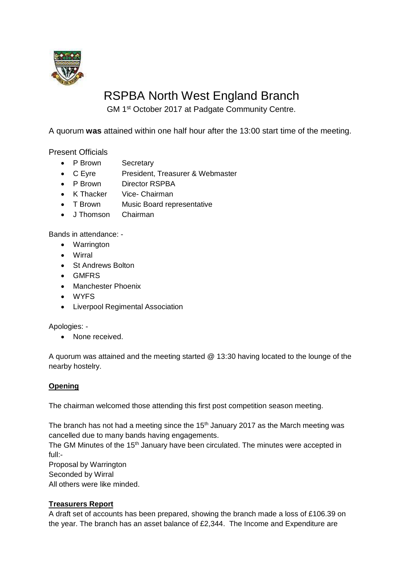

# RSPBA North West England Branch

GM 1<sup>st</sup> October 2017 at Padgate Community Centre.

A quorum **was** attained within one half hour after the 13:00 start time of the meeting.

Present Officials

- P Brown Secretary
- C Eyre President, Treasurer & Webmaster
- P Brown Director RSPBA
- K Thacker Vice- Chairman
- T Brown Music Board representative
- J Thomson Chairman

Bands in attendance: -

- Warrington
- Wirral
- St Andrews Bolton
- GMFRS
- Manchester Phoenix
- WYFS
- Liverpool Regimental Association

Apologies: -

• None received.

A quorum was attained and the meeting started @ 13:30 having located to the lounge of the nearby hostelry.

# **Opening**

The chairman welcomed those attending this first post competition season meeting.

The branch has not had a meeting since the  $15<sup>th</sup>$  January 2017 as the March meeting was cancelled due to many bands having engagements.

The GM Minutes of the 15<sup>th</sup> January have been circulated. The minutes were accepted in full:-

Proposal by Warrington Seconded by Wirral All others were like minded.

# **Treasurers Report**

A draft set of accounts has been prepared, showing the branch made a loss of £106.39 on the year. The branch has an asset balance of £2,344. The Income and Expenditure are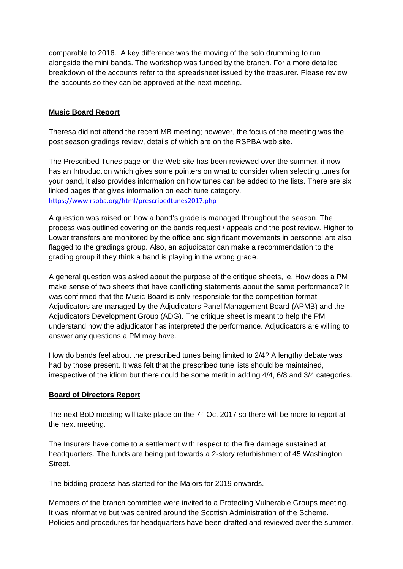comparable to 2016. A key difference was the moving of the solo drumming to run alongside the mini bands. The workshop was funded by the branch. For a more detailed breakdown of the accounts refer to the spreadsheet issued by the treasurer. Please review the accounts so they can be approved at the next meeting.

## **Music Board Report**

Theresa did not attend the recent MB meeting; however, the focus of the meeting was the post season gradings review, details of which are on the RSPBA web site.

The Prescribed Tunes page on the Web site has been reviewed over the summer, it now has an Introduction which gives some pointers on what to consider when selecting tunes for your band, it also provides information on how tunes can be added to the lists. There are six linked pages that gives information on each tune category. <https://www.rspba.org/html/prescribedtunes2017.php>

A question was raised on how a band's grade is managed throughout the season. The process was outlined covering on the bands request / appeals and the post review. Higher to Lower transfers are monitored by the office and significant movements in personnel are also flagged to the gradings group. Also, an adjudicator can make a recommendation to the grading group if they think a band is playing in the wrong grade.

A general question was asked about the purpose of the critique sheets, ie. How does a PM make sense of two sheets that have conflicting statements about the same performance? It was confirmed that the Music Board is only responsible for the competition format. Adjudicators are managed by the Adjudicators Panel Management Board (APMB) and the Adjudicators Development Group (ADG). The critique sheet is meant to help the PM understand how the adjudicator has interpreted the performance. Adjudicators are willing to answer any questions a PM may have.

How do bands feel about the prescribed tunes being limited to 2/4? A lengthy debate was had by those present. It was felt that the prescribed tune lists should be maintained, irrespective of the idiom but there could be some merit in adding 4/4, 6/8 and 3/4 categories.

#### **Board of Directors Report**

The next BoD meeting will take place on the  $7<sup>th</sup>$  Oct 2017 so there will be more to report at the next meeting.

The Insurers have come to a settlement with respect to the fire damage sustained at headquarters. The funds are being put towards a 2-story refurbishment of 45 Washington Street.

The bidding process has started for the Majors for 2019 onwards.

Members of the branch committee were invited to a Protecting Vulnerable Groups meeting. It was informative but was centred around the Scottish Administration of the Scheme. Policies and procedures for headquarters have been drafted and reviewed over the summer.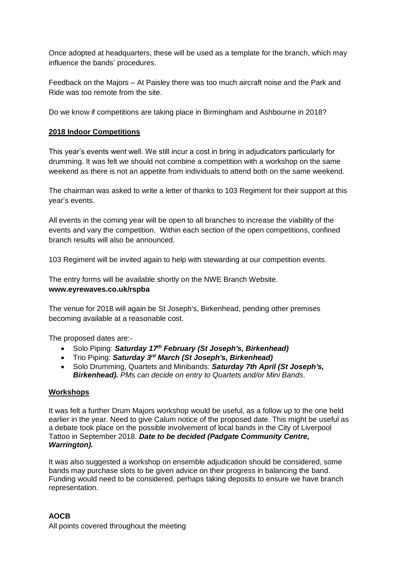Once adopted at headquarters, these will be used as a template for the branch, which may influence the bands' procedures.

Feedback on the Majors – At Paisley there was too much aircraft noise and the Park and Ride was too remote from the site.

Do we know if competitions are taking place in Birmingham and Ashbourne in 2018?

#### **2018 Indoor Competitions**

This year's events went well. We still incur a cost in bring in adjudicators particularly for drumming. It was felt we should not combine a competition with a workshop on the same weekend as there is not an appetite from individuals to attend both on the same weekend.

The chairman was asked to write a letter of thanks to 103 Regiment for their support at this year's events.

All events in the coming year will be open to all branches to increase the viability of the events and vary the competition. Within each section of the open competitions, confined branch results will also be announced.

103 Regiment will be invited again to help with stewarding at our competition events.

The entry forms will be available shortly on the NWE Branch Website. **www.eyrewaves.co.uk/rspba**

The venue for 2018 will again be St Joseph's, Birkenhead, pending other premises becoming available at a reasonable cost.

The proposed dates are:-

- Solo Piping: *Saturday 17th February (St Joseph's, Birkenhead)*
- Trio Piping: *Saturday 3 rd March (St Joseph's, Birkenhead)*
- Solo Drumming, Quartets and Minibands: *Saturday 7th April (St Joseph's, Birkenhead). PMs can decide on entry to Quartets and/or Mini Bands.*

#### **Workshops**

It was felt a further Drum Majors workshop would be useful, as a follow up to the one held earlier in the year. Need to give Calum notice of the proposed date. This might be useful as a debate took place on the possible involvement of local bands in the City of Liverpool Tattoo in September 2018. *Date to be decided (Padgate Community Centre, Warrington).*

It was also suggested a workshop on ensemble adjudication should be considered, some bands may purchase slots to be given advice on their progress in balancing the band. Funding would need to be considered, perhaps taking deposits to ensure we have branch representation.

## **AOCB** All points covered throughout the meeting